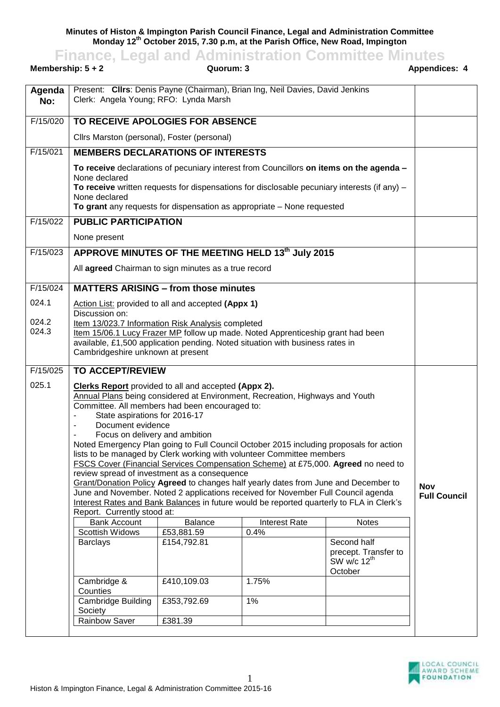**Minutes of Histon & Impington Parish Council Finance, Legal and Administration Committee Monday 12th October 2015, 7.30 p.m, at the Parish Office, New Road, Impington**

**Finance, Legal and Administration Committee Minutes**<br>**ADDER FINAL COMMULA COMMULA ADDED** Appendices: 4

| Membership: $5 + 2$                                                                                                     |                                                                                                                                                                                                                                                               | Quorum: 3                                                                                                                                                                                                                                                           |                      |                                                                    | Appendices: 4 |  |
|-------------------------------------------------------------------------------------------------------------------------|---------------------------------------------------------------------------------------------------------------------------------------------------------------------------------------------------------------------------------------------------------------|---------------------------------------------------------------------------------------------------------------------------------------------------------------------------------------------------------------------------------------------------------------------|----------------------|--------------------------------------------------------------------|---------------|--|
| Agenda<br>No:                                                                                                           | Present: Clirs: Denis Payne (Chairman), Brian Ing, Neil Davies, David Jenkins<br>Clerk: Angela Young; RFO: Lynda Marsh                                                                                                                                        |                                                                                                                                                                                                                                                                     |                      |                                                                    |               |  |
| F/15/020                                                                                                                | TO RECEIVE APOLOGIES FOR ABSENCE                                                                                                                                                                                                                              |                                                                                                                                                                                                                                                                     |                      |                                                                    |               |  |
|                                                                                                                         |                                                                                                                                                                                                                                                               | Cllrs Marston (personal), Foster (personal)                                                                                                                                                                                                                         |                      |                                                                    |               |  |
| F/15/021                                                                                                                | <b>MEMBERS DECLARATIONS OF INTERESTS</b>                                                                                                                                                                                                                      |                                                                                                                                                                                                                                                                     |                      |                                                                    |               |  |
|                                                                                                                         | None declared<br>None declared                                                                                                                                                                                                                                | To receive declarations of pecuniary interest from Councillors on items on the agenda -<br>To receive written requests for dispensations for disclosable pecuniary interests (if any) $-$<br>To grant any requests for dispensation as appropriate - None requested |                      |                                                                    |               |  |
| F/15/022                                                                                                                | <b>PUBLIC PARTICIPATION</b>                                                                                                                                                                                                                                   |                                                                                                                                                                                                                                                                     |                      |                                                                    |               |  |
|                                                                                                                         | None present                                                                                                                                                                                                                                                  |                                                                                                                                                                                                                                                                     |                      |                                                                    |               |  |
| F/15/023                                                                                                                | APPROVE MINUTES OF THE MEETING HELD 13th July 2015                                                                                                                                                                                                            |                                                                                                                                                                                                                                                                     |                      |                                                                    |               |  |
|                                                                                                                         | All agreed Chairman to sign minutes as a true record                                                                                                                                                                                                          |                                                                                                                                                                                                                                                                     |                      |                                                                    |               |  |
| F/15/024                                                                                                                | <b>MATTERS ARISING - from those minutes</b>                                                                                                                                                                                                                   |                                                                                                                                                                                                                                                                     |                      |                                                                    |               |  |
| 024.1<br>024.2                                                                                                          | Action List: provided to all and accepted (Appx 1)<br>Discussion on:<br>Item 13/023.7 Information Risk Analysis completed                                                                                                                                     |                                                                                                                                                                                                                                                                     |                      |                                                                    |               |  |
| 024.3                                                                                                                   | Item 15/06.1 Lucy Frazer MP follow up made. Noted Apprenticeship grant had been<br>available, £1,500 application pending. Noted situation with business rates in<br>Cambridgeshire unknown at present                                                         |                                                                                                                                                                                                                                                                     |                      |                                                                    |               |  |
| F/15/025                                                                                                                | <b>TO ACCEPT/REVIEW</b>                                                                                                                                                                                                                                       |                                                                                                                                                                                                                                                                     |                      |                                                                    |               |  |
| 025.1                                                                                                                   | <b>Clerks Report</b> provided to all and accepted (Appx 2).<br>Annual Plans being considered at Environment, Recreation, Highways and Youth<br>Committee. All members had been encouraged to:<br>State aspirations for 2016-17<br>Document evidence           |                                                                                                                                                                                                                                                                     |                      |                                                                    |               |  |
|                                                                                                                         | Focus on delivery and ambition                                                                                                                                                                                                                                |                                                                                                                                                                                                                                                                     |                      |                                                                    |               |  |
|                                                                                                                         | Noted Emergency Plan going to Full Council October 2015 including proposals for action<br>lists to be managed by Clerk working with volunteer Committee members<br>FSCS Cover (Financial Services Compensation Scheme) at £75,000. Agreed no need to          |                                                                                                                                                                                                                                                                     |                      |                                                                    |               |  |
|                                                                                                                         |                                                                                                                                                                                                                                                               |                                                                                                                                                                                                                                                                     |                      |                                                                    |               |  |
|                                                                                                                         | review spread of investment as a consequence<br>Grant/Donation Policy Agreed to changes half yearly dates from June and December to<br><b>Nov</b><br>June and November. Noted 2 applications received for November Full Council agenda<br><b>Full Council</b> |                                                                                                                                                                                                                                                                     |                      |                                                                    |               |  |
|                                                                                                                         |                                                                                                                                                                                                                                                               |                                                                                                                                                                                                                                                                     |                      |                                                                    |               |  |
| Interest Rates and Bank Balances in future would be reported quarterly to FLA in Clerk's<br>Report. Currently stood at: |                                                                                                                                                                                                                                                               |                                                                                                                                                                                                                                                                     |                      |                                                                    |               |  |
|                                                                                                                         | <b>Bank Account</b>                                                                                                                                                                                                                                           | <b>Balance</b>                                                                                                                                                                                                                                                      | <b>Interest Rate</b> | <b>Notes</b>                                                       |               |  |
|                                                                                                                         | Scottish Widows                                                                                                                                                                                                                                               | £53,881.59                                                                                                                                                                                                                                                          | 0.4%                 |                                                                    |               |  |
|                                                                                                                         | <b>Barclays</b>                                                                                                                                                                                                                                               | £154,792.81                                                                                                                                                                                                                                                         |                      | Second half<br>precept. Transfer to<br>SW w/c $12^{th}$<br>October |               |  |
|                                                                                                                         | Cambridge &<br>Counties                                                                                                                                                                                                                                       | £410,109.03                                                                                                                                                                                                                                                         | 1.75%                |                                                                    |               |  |
|                                                                                                                         | Cambridge Building<br>Society                                                                                                                                                                                                                                 | £353,792.69                                                                                                                                                                                                                                                         | 1%                   |                                                                    |               |  |
|                                                                                                                         | <b>Rainbow Saver</b>                                                                                                                                                                                                                                          | £381.39                                                                                                                                                                                                                                                             |                      |                                                                    |               |  |